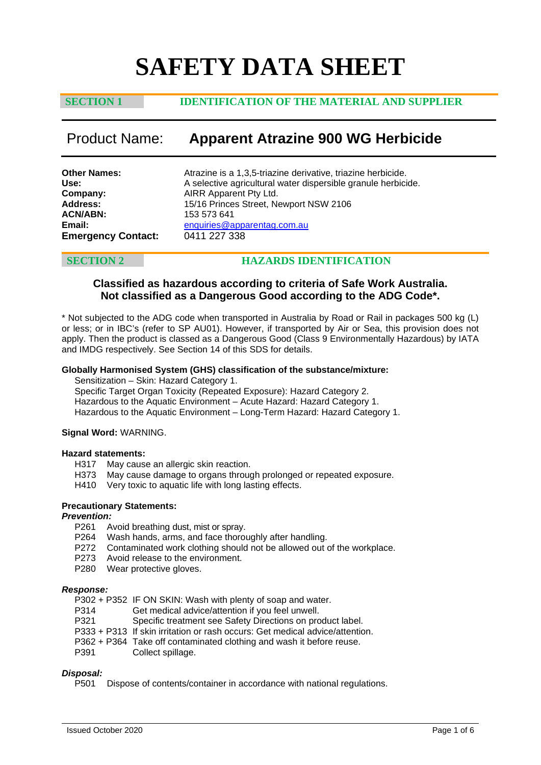# **SAFETY DATA SHEET**

### **SECTION 1 IDENTIFICATION OF THE MATERIAL AND SUPPLIER**

## Product Name: **Apparent Atrazine 900 WG Herbicide**

| <b>Other Names:</b>       | Atrazine is a 1,3,5-triazine derivative, triazine herbicide.  |
|---------------------------|---------------------------------------------------------------|
| Use:                      | A selective agricultural water dispersible granule herbicide. |
| Company:                  | AIRR Apparent Pty Ltd.                                        |
| <b>Address:</b>           | 15/16 Princes Street, Newport NSW 2106                        |
| ACN/ABN:                  | 153 573 641                                                   |
| Email:                    | enquiries@apparentag.com.au                                   |
| <b>Emergency Contact:</b> | 0411 227 338                                                  |
|                           |                                                               |

### **SECTION 2 HAZARDS IDENTIFICATION**

### **Classified as hazardous according to criteria of Safe Work Australia. Not classified as a Dangerous Good according to the ADG Code\*.**

\* Not subjected to the ADG code when transported in Australia by Road or Rail in packages 500 kg (L) or less; or in IBC's (refer to SP AU01). However, if transported by Air or Sea, this provision does not apply. Then the product is classed as a Dangerous Good (Class 9 Environmentally Hazardous) by IATA and IMDG respectively. See Section 14 of this SDS for details.

### **Globally Harmonised System (GHS) classification of the substance/mixture:**

Sensitization – Skin: Hazard Category 1.

Specific Target Organ Toxicity (Repeated Exposure): Hazard Category 2. Hazardous to the Aquatic Environment – Acute Hazard: Hazard Category 1. Hazardous to the Aquatic Environment – Long-Term Hazard: Hazard Category 1.

### **Signal Word:** WARNING.

### **Hazard statements:**

- H317 May cause an allergic skin reaction.
- H373 May cause damage to organs through prolonged or repeated exposure.
- H410 Very toxic to aquatic life with long lasting effects.

### **Precautionary Statements:**

# *Prevention:*

- Avoid breathing dust, mist or spray.
- P264 Wash hands, arms, and face thoroughly after handling.
- P272 Contaminated work clothing should not be allowed out of the workplace.
- P273 Avoid release to the environment.
- P280 Wear protective gloves.

### *Response:*

- P302 + P352 IF ON SKIN: Wash with plenty of soap and water.<br>P314 Get medical advice/attention if you feel unwell.
- P314 Get medical advice/attention if you feel unwell.<br>P321 Specific treatment see Safety Directions on pro
- Specific treatment see Safety Directions on product label.
- P333 + P313 If skin irritation or rash occurs: Get medical advice/attention.
- P362 + P364 Take off contaminated clothing and wash it before reuse.<br>P391 Collect spillage.
- Collect spillage.

### *Disposal:*

P501 Dispose of contents/container in accordance with national regulations.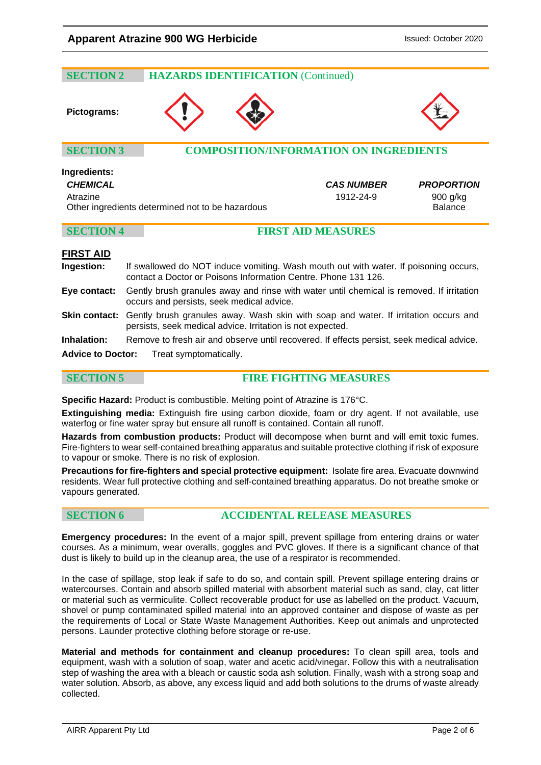# **SECTION 2 HAZARDS IDENTIFICATION** (Continued) **Pictograms: SECTION 3 COMPOSITION/INFORMATION ON INGREDIENTS Ingredients:** *CHEMICAL CAS NUMBER PROPORTION* Atrazine 1912-24-9 900 g/kg Other ingredients determined not to be hazardous **Balance** Balance **SECTION 4 FIRST AID MEASURES**

### **FIRST AID**

| Ingestion:         | If swallowed do NOT induce vomiting. Wash mouth out with water. If poisoning occurs,<br>contact a Doctor or Poisons Information Centre. Phone 131 126.          |
|--------------------|-----------------------------------------------------------------------------------------------------------------------------------------------------------------|
| Eye contact:       | Gently brush granules away and rinse with water until chemical is removed. If irritation<br>occurs and persists, seek medical advice.                           |
|                    | Skin contact: Gently brush granules away. Wash skin with soap and water. If irritation occurs and<br>persists, seek medical advice. Irritation is not expected. |
| <b>Inhalation:</b> | Remove to fresh air and observe until recovered. If effects persist, seek medical advice.                                                                       |
|                    | <b>Advice to Doctor:</b> Treat symptomatically.                                                                                                                 |

**SECTION 5 FIRE FIGHTING MEASURES**

**Specific Hazard:** Product is combustible. Melting point of Atrazine is 176°C.

**Extinguishing media:** Extinguish fire using carbon dioxide, foam or dry agent. If not available, use waterfog or fine water spray but ensure all runoff is contained. Contain all runoff.

**Hazards from combustion products:** Product will decompose when burnt and will emit toxic fumes. Fire-fighters to wear self-contained breathing apparatus and suitable protective clothing if risk of exposure to vapour or smoke. There is no risk of explosion.

**Precautions for fire-fighters and special protective equipment:** Isolate fire area. Evacuate downwind residents. Wear full protective clothing and self-contained breathing apparatus. Do not breathe smoke or vapours generated.

### **SECTION 6 ACCIDENTAL RELEASE MEASURES**

**Emergency procedures:** In the event of a major spill, prevent spillage from entering drains or water courses. As a minimum, wear overalls, goggles and PVC gloves. If there is a significant chance of that dust is likely to build up in the cleanup area, the use of a respirator is recommended.

In the case of spillage, stop leak if safe to do so, and contain spill. Prevent spillage entering drains or watercourses. Contain and absorb spilled material with absorbent material such as sand, clay, cat litter or material such as vermiculite. Collect recoverable product for use as labelled on the product. Vacuum, shovel or pump contaminated spilled material into an approved container and dispose of waste as per the requirements of Local or State Waste Management Authorities. Keep out animals and unprotected persons. Launder protective clothing before storage or re-use.

**Material and methods for containment and cleanup procedures:** To clean spill area, tools and equipment, wash with a solution of soap, water and acetic acid/vinegar. Follow this with a neutralisation step of washing the area with a bleach or caustic soda ash solution. Finally, wash with a strong soap and water solution. Absorb, as above, any excess liquid and add both solutions to the drums of waste already collected.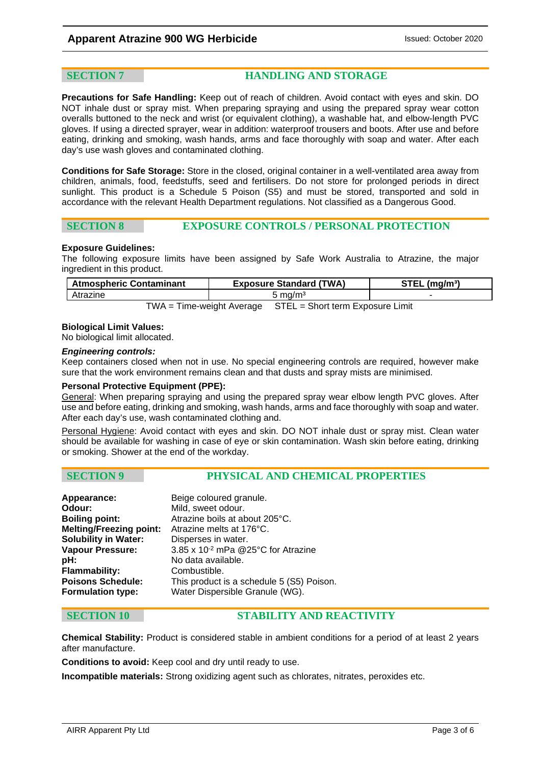**SECTION 7 HANDLING AND STORAGE**

**Precautions for Safe Handling:** Keep out of reach of children. Avoid contact with eyes and skin. DO NOT inhale dust or spray mist. When preparing spraying and using the prepared spray wear cotton overalls buttoned to the neck and wrist (or equivalent clothing), a washable hat, and elbow-length PVC gloves. If using a directed sprayer, wear in addition: waterproof trousers and boots. After use and before eating, drinking and smoking, wash hands, arms and face thoroughly with soap and water. After each day's use wash gloves and contaminated clothing.

**Conditions for Safe Storage:** Store in the closed, original container in a well-ventilated area away from children, animals, food, feedstuffs, seed and fertilisers. Do not store for prolonged periods in direct sunlight. This product is a Schedule 5 Poison (S5) and must be stored, transported and sold in accordance with the relevant Health Department regulations. Not classified as a Dangerous Good.

### **SECTION 8 EXPOSURE CONTROLS / PERSONAL PROTECTION**

### **Exposure Guidelines:**

The following exposure limits have been assigned by Safe Work Australia to Atrazine, the major ingredient in this product.

| <b>Atmospheric Contaminant</b> | <b>Exposure Standard (TWA)</b>                                | $STEL$ (mg/m <sup>3</sup> ) |
|--------------------------------|---------------------------------------------------------------|-----------------------------|
| Atrazine                       | 5 mg/m <sup>3</sup>                                           |                             |
|                                | TWA = Time-weight Average    STEL = Short term Exposure Limit |                             |

### **Biological Limit Values:**

No biological limit allocated.

### *Engineering controls:*

Keep containers closed when not in use. No special engineering controls are required, however make sure that the work environment remains clean and that dusts and spray mists are minimised.

### **Personal Protective Equipment (PPE):**

General: When preparing spraying and using the prepared spray wear elbow length PVC gloves. After use and before eating, drinking and smoking, wash hands, arms and face thoroughly with soap and water. After each day's use, wash contaminated clothing and.

Personal Hygiene: Avoid contact with eyes and skin. DO NOT inhale dust or spray mist. Clean water should be available for washing in case of eye or skin contamination. Wash skin before eating, drinking or smoking. Shower at the end of the workday.

### **SECTION 9 PHYSICAL AND CHEMICAL PROPERTIES**

| Appearance:                    | Beige coloured granule.                   |
|--------------------------------|-------------------------------------------|
| Odour:                         | Mild, sweet odour.                        |
| <b>Boiling point:</b>          | Atrazine boils at about 205°C.            |
| <b>Melting/Freezing point:</b> | Atrazine melts at 176°C.                  |
| <b>Solubility in Water:</b>    | Disperses in water.                       |
| <b>Vapour Pressure:</b>        | 3.85 x 10-2 mPa @25°C for Atrazine        |
| pH:                            | No data available.                        |
| Flammability:                  | Combustible.                              |
| <b>Poisons Schedule:</b>       | This product is a schedule 5 (S5) Poison. |
| <b>Formulation type:</b>       | Water Dispersible Granule (WG).           |
|                                |                                           |

### **SECTION 10 STABILITY AND REACTIVITY**

**Chemical Stability:** Product is considered stable in ambient conditions for a period of at least 2 years after manufacture.

**Conditions to avoid:** Keep cool and dry until ready to use.

**Incompatible materials:** Strong oxidizing agent such as chlorates, nitrates, peroxides etc.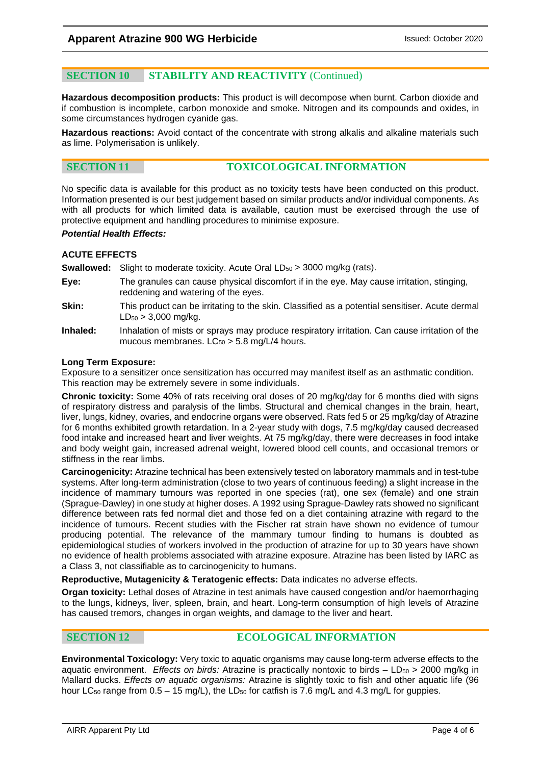### **SECTION 10 STABILITY AND REACTIVITY** (Continued)

**Hazardous decomposition products:** This product is will decompose when burnt. Carbon dioxide and if combustion is incomplete, carbon monoxide and smoke. Nitrogen and its compounds and oxides, in some circumstances hydrogen cyanide gas.

**Hazardous reactions:** Avoid contact of the concentrate with strong alkalis and alkaline materials such as lime. Polymerisation is unlikely.

### **SECTION 11 TOXICOLOGICAL INFORMATION**

No specific data is available for this product as no toxicity tests have been conducted on this product. Information presented is our best judgement based on similar products and/or individual components. As with all products for which limited data is available, caution must be exercised through the use of protective equipment and handling procedures to minimise exposure.

### *Potential Health Effects:*

### **ACUTE EFFECTS**

**Swallowed:** Slight to moderate toxicity. Acute Oral LD<sub>50</sub> > 3000 mg/kg (rats).

- **Eye:** The granules can cause physical discomfort if in the eye. May cause irritation, stinging, reddening and watering of the eyes.
- **Skin:** This product can be irritating to the skin. Classified as a potential sensitiser. Acute dermal  $LD_{50}$  > 3,000 mg/kg.
- **Inhaled:** Inhalation of mists or sprays may produce respiratory irritation. Can cause irritation of the mucous membranes.  $LC_{50} > 5.8$  mg/L/4 hours.

### **Long Term Exposure:**

Exposure to a sensitizer once sensitization has occurred may manifest itself as an asthmatic condition. This reaction may be extremely severe in some individuals.

**Chronic toxicity:** Some 40% of rats receiving oral doses of 20 mg/kg/day for 6 months died with signs of respiratory distress and paralysis of the limbs. Structural and chemical changes in the brain, heart, liver, lungs, kidney, ovaries, and endocrine organs were observed. Rats fed 5 or 25 mg/kg/day of Atrazine for 6 months exhibited growth retardation. In a 2-year study with dogs, 7.5 mg/kg/day caused decreased food intake and increased heart and liver weights. At 75 mg/kg/day, there were decreases in food intake and body weight gain, increased adrenal weight, lowered blood cell counts, and occasional tremors or stiffness in the rear limbs.

**Carcinogenicity:** Atrazine technical has been extensively tested on laboratory mammals and in test-tube systems. After long-term administration (close to two years of continuous feeding) a slight increase in the incidence of mammary tumours was reported in one species (rat), one sex (female) and one strain (Sprague-Dawley) in one study at higher doses. A 1992 using Sprague-Dawley rats showed no significant difference between rats fed normal diet and those fed on a diet containing atrazine with regard to the incidence of tumours. Recent studies with the Fischer rat strain have shown no evidence of tumour producing potential. The relevance of the mammary tumour finding to humans is doubted as epidemiological studies of workers involved in the production of atrazine for up to 30 years have shown no evidence of health problems associated with atrazine exposure. Atrazine has been listed by IARC as a Class 3, not classifiable as to carcinogenicity to humans.

**Reproductive, Mutagenicity & Teratogenic effects:** Data indicates no adverse effects.

**Organ toxicity:** Lethal doses of Atrazine in test animals have caused congestion and/or haemorrhaging to the lungs, kidneys, liver, spleen, brain, and heart. Long-term consumption of high levels of Atrazine has caused tremors, changes in organ weights, and damage to the liver and heart.

### **SECTION 12 ECOLOGICAL INFORMATION**

**Environmental Toxicology:** Very toxic to aquatic organisms may cause long-term adverse effects to the aquatic environment. *Effects on birds:* Atrazine is practically nontoxic to birds – LD<sub>50</sub> > 2000 mg/kg in Mallard ducks. *Effects on aquatic organisms:* Atrazine is slightly toxic to fish and other aquatic life (96 hour LC<sub>50</sub> range from  $0.5 - 15$  mg/L), the LD<sub>50</sub> for catfish is 7.6 mg/L and 4.3 mg/L for guppies.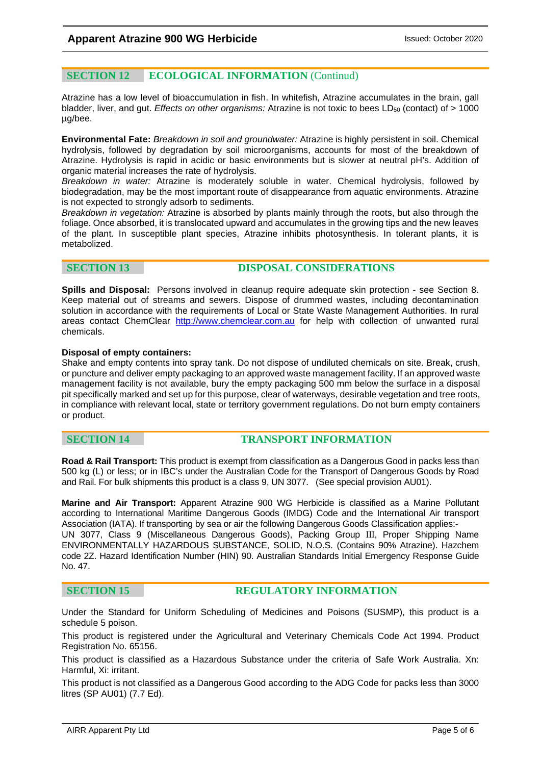### **SECTION 12 ECOLOGICAL INFORMATION** (Continud)

Atrazine has a low level of bioaccumulation in fish. In whitefish, Atrazine accumulates in the brain, gall bladder, liver, and gut. *Effects on other organisms:* Atrazine is not toxic to bees LD<sub>50</sub> (contact) of > 1000 µg/bee.

**Environmental Fate:** *Breakdown in soil and groundwater:* Atrazine is highly persistent in soil. Chemical hydrolysis, followed by degradation by soil microorganisms, accounts for most of the breakdown of Atrazine. Hydrolysis is rapid in acidic or basic environments but is slower at neutral pH's. Addition of organic material increases the rate of hydrolysis.

*Breakdown in water:* Atrazine is moderately soluble in water. Chemical hydrolysis, followed by biodegradation, may be the most important route of disappearance from aquatic environments. Atrazine is not expected to strongly adsorb to sediments.

*Breakdown in vegetation:* Atrazine is absorbed by plants mainly through the roots, but also through the foliage. Once absorbed, it is translocated upward and accumulates in the growing tips and the new leaves of the plant. In susceptible plant species, Atrazine inhibits photosynthesis. In tolerant plants, it is metabolized.

### **SECTION 13 DISPOSAL CONSIDERATIONS**

**Spills and Disposal:** Persons involved in cleanup require adequate skin protection - see Section 8. Keep material out of streams and sewers. Dispose of drummed wastes, including decontamination solution in accordance with the requirements of Local or State Waste Management Authorities. In rural areas contact ChemClear [http://www.chemclear.com.au](http://www.chemclear.com.au/) for help with collection of unwanted rural chemicals.

### **Disposal of empty containers:**

Shake and empty contents into spray tank. Do not dispose of undiluted chemicals on site. Break, crush, or puncture and deliver empty packaging to an approved waste management facility. If an approved waste management facility is not available, bury the empty packaging 500 mm below the surface in a disposal pit specifically marked and set up for this purpose, clear of waterways, desirable vegetation and tree roots, in compliance with relevant local, state or territory government regulations. Do not burn empty containers or product.

### **SECTION 14 TRANSPORT INFORMATION**

**Road & Rail Transport:** This product is exempt from classification as a Dangerous Good in packs less than 500 kg (L) or less; or in IBC's under the Australian Code for the Transport of Dangerous Goods by Road and Rail. For bulk shipments this product is a class 9, UN 3077. (See special provision AU01).

**Marine and Air Transport:** Apparent Atrazine 900 WG Herbicide is classified as a Marine Pollutant according to International Maritime Dangerous Goods (IMDG) Code and the International Air transport Association (IATA). If transporting by sea or air the following Dangerous Goods Classification applies:- UN 3077, Class 9 (Miscellaneous Dangerous Goods), Packing Group III, Proper Shipping Name ENVIRONMENTALLY HAZARDOUS SUBSTANCE, SOLID, N.O.S. (Contains 90% Atrazine). Hazchem code 2Z. Hazard Identification Number (HIN) 90. Australian Standards Initial Emergency Response Guide No. 47.

### **SECTION 15 REGULATORY INFORMATION**

Under the Standard for Uniform Scheduling of Medicines and Poisons (SUSMP), this product is a schedule 5 poison.

This product is registered under the Agricultural and Veterinary Chemicals Code Act 1994. Product Registration No. 65156.

This product is classified as a Hazardous Substance under the criteria of Safe Work Australia. Xn: Harmful, Xi: irritant.

This product is not classified as a Dangerous Good according to the ADG Code for packs less than 3000 litres (SP AU01) (7.7 Ed).